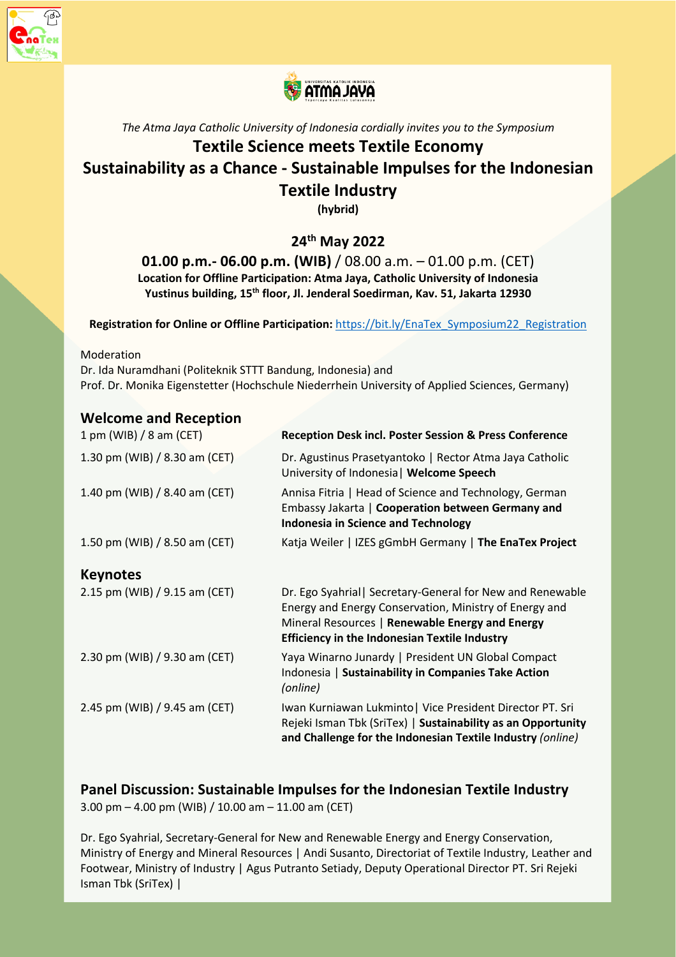



#### *The Atma Jaya Catholic University of Indonesia cordially invites you to the Symposium*

# **Textile Science meets Textile Economy Sustainability as a Chance - Sustainable Impulses for the Indonesian Textile Industry**

**(hybrid)**

# **24th May 2022**

## **01.00 p.m.- 06.00 p.m. (WIB)** / 08.00 a.m. – 01.00 p.m. (CET) **Location for Offline Participation: Atma Jaya, Catholic University of Indonesia Yustinus building, 15th floor, Jl. Jenderal Soedirman, Kav. 51, Jakarta 12930**

**Registration for Online or Offline Participation:** https://bit.ly/EnaTex\_Symposium22\_Registration

Moderation

Dr. Ida Nuramdhani (Politeknik STTT Bandung, Indonesia) and Prof. Dr. Monika Eigenstetter (Hochschule Niederrhein University of Applied Sciences, Germany)

#### **Welcome and Reception**

| 1 pm (WIB) / 8 am (CET)       | <b>Reception Desk incl. Poster Session &amp; Press Conference</b>                                                                                                                                                               |
|-------------------------------|---------------------------------------------------------------------------------------------------------------------------------------------------------------------------------------------------------------------------------|
| 1.30 pm (WIB) / 8.30 am (CET) | Dr. Agustinus Prasetyantoko   Rector Atma Jaya Catholic<br>University of Indonesia   Welcome Speech                                                                                                                             |
| 1.40 pm (WIB) / 8.40 am (CET) | Annisa Fitria   Head of Science and Technology, German<br>Embassy Jakarta   Cooperation between Germany and<br><b>Indonesia in Science and Technology</b>                                                                       |
| 1.50 pm (WIB) / 8.50 am (CET) | Katja Weiler   IZES gGmbH Germany   The EnaTex Project                                                                                                                                                                          |
| <b>Keynotes</b>               |                                                                                                                                                                                                                                 |
| 2.15 pm (WIB) / 9.15 am (CET) | Dr. Ego Syahrial   Secretary-General for New and Renewable<br>Energy and Energy Conservation, Ministry of Energy and<br>Mineral Resources   Renewable Energy and Energy<br><b>Efficiency in the Indonesian Textile Industry</b> |
| 2.30 pm (WIB) / 9.30 am (CET) | Yaya Winarno Junardy   President UN Global Compact<br>Indonesia   Sustainability in Companies Take Action<br>(online)                                                                                                           |
| 2.45 pm (WIB) / 9.45 am (CET) | Iwan Kurniawan Lukminto   Vice President Director PT. Sri<br>Rejeki Isman Tbk (SriTex)   Sustainability as an Opportunity<br>and Challenge for the Indonesian Textile Industry (online)                                         |

#### **Panel Discussion: Sustainable Impulses for the Indonesian Textile Industry** 3.00 pm  $-$  4.00 pm (WIB) / 10.00 am  $-$  11.00 am (CET)

Dr. Ego Syahrial, Secretary-General for New and Renewable Energy and Energy Conservation, Ministry of Energy and Mineral Resources | Andi Susanto, Directoriat of Textile Industry, Leather and Footwear, Ministry of Industry | Agus Putranto Setiady, Deputy Operational Director PT. Sri Rejeki Isman Tbk (SriTex) |